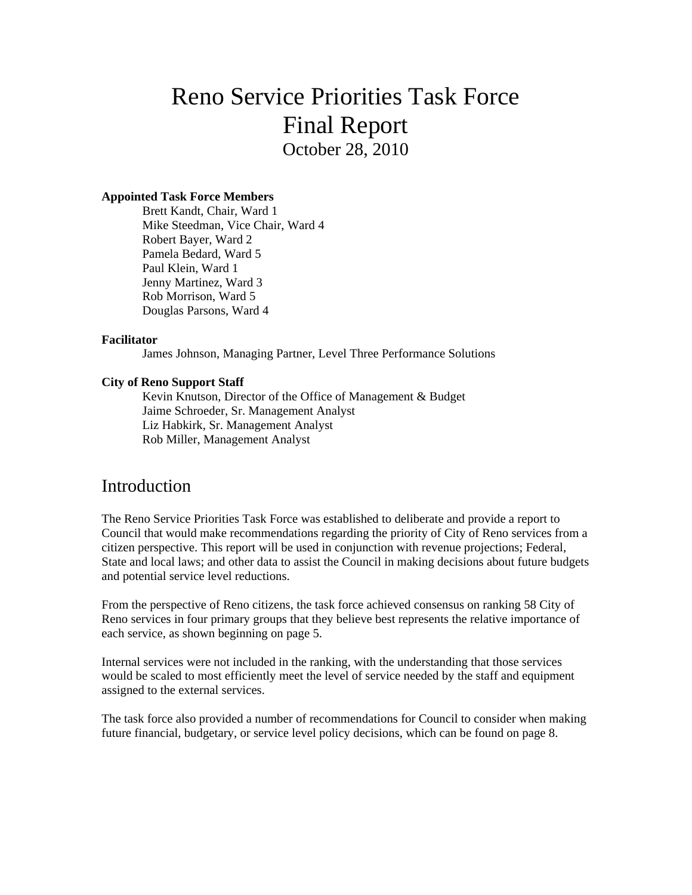# Reno Service Priorities Task Force Final Report October 28, 2010

#### **Appointed Task Force Members**

Brett Kandt, Chair, Ward 1 Mike Steedman, Vice Chair, Ward 4 Robert Bayer, Ward 2 Pamela Bedard, Ward 5 Paul Klein, Ward 1 Jenny Martinez, Ward 3 Rob Morrison, Ward 5 Douglas Parsons, Ward 4

#### **Facilitator**

James Johnson, Managing Partner, Level Three Performance Solutions

#### **City of Reno Support Staff**

Kevin Knutson, Director of the Office of Management & Budget Jaime Schroeder, Sr. Management Analyst Liz Habkirk, Sr. Management Analyst Rob Miller, Management Analyst

### **Introduction**

The Reno Service Priorities Task Force was established to deliberate and provide a report to Council that would make recommendations regarding the priority of City of Reno services from a citizen perspective. This report will be used in conjunction with revenue projections; Federal, State and local laws; and other data to assist the Council in making decisions about future budgets and potential service level reductions.

From the perspective of Reno citizens, the task force achieved consensus on ranking 58 City of Reno services in four primary groups that they believe best represents the relative importance of each service, as shown beginning on page 5.

Internal services were not included in the ranking, with the understanding that those services would be scaled to most efficiently meet the level of service needed by the staff and equipment assigned to the external services.

The task force also provided a number of recommendations for Council to consider when making future financial, budgetary, or service level policy decisions, which can be found on page 8.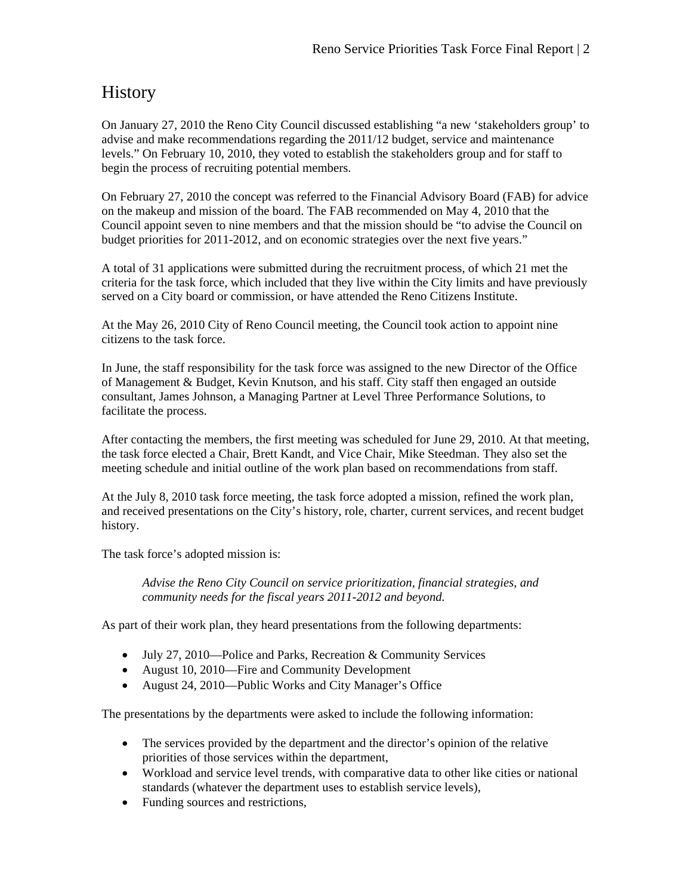# **History**

On January 27, 2010 the Reno City Council discussed establishing "a new 'stakeholders group' to advise and make recommendations regarding the 2011/12 budget, service and maintenance levels." On February 10, 2010, they voted to establish the stakeholders group and for staff to begin the process of recruiting potential members.

On February 27, 2010 the concept was referred to the Financial Advisory Board (FAB) for advice on the makeup and mission of the board. The FAB recommended on May 4, 2010 that the Council appoint seven to nine members and that the mission should be "to advise the Council on budget priorities for 2011-2012, and on economic strategies over the next five years."

A total of 31 applications were submitted during the recruitment process, of which 21 met the criteria for the task force, which included that they live within the City limits and have previously served on a City board or commission, or have attended the Reno Citizens Institute.

At the May 26, 2010 City of Reno Council meeting, the Council took action to appoint nine citizens to the task force.

In June, the staff responsibility for the task force was assigned to the new Director of the Office of Management & Budget, Kevin Knutson, and his staff. City staff then engaged an outside consultant, James Johnson, a Managing Partner at Level Three Performance Solutions, to facilitate the process.

After contacting the members, the first meeting was scheduled for June 29, 2010. At that meeting, the task force elected a Chair, Brett Kandt, and Vice Chair, Mike Steedman. They also set the meeting schedule and initial outline of the work plan based on recommendations from staff.

At the July 8, 2010 task force meeting, the task force adopted a mission, refined the work plan, and received presentations on the City's history, role, charter, current services, and recent budget history.

The task force's adopted mission is:

*Advise the Reno City Council on service prioritization, financial strategies, and community needs for the fiscal years 2011-2012 and beyond.* 

As part of their work plan, they heard presentations from the following departments:

- July 27, 2010—Police and Parks, Recreation & Community Services
- August 10, 2010—Fire and Community Development
- August 24, 2010—Public Works and City Manager's Office

The presentations by the departments were asked to include the following information:

- The services provided by the department and the director's opinion of the relative priorities of those services within the department,
- Workload and service level trends, with comparative data to other like cities or national standards (whatever the department uses to establish service levels),
- Funding sources and restrictions,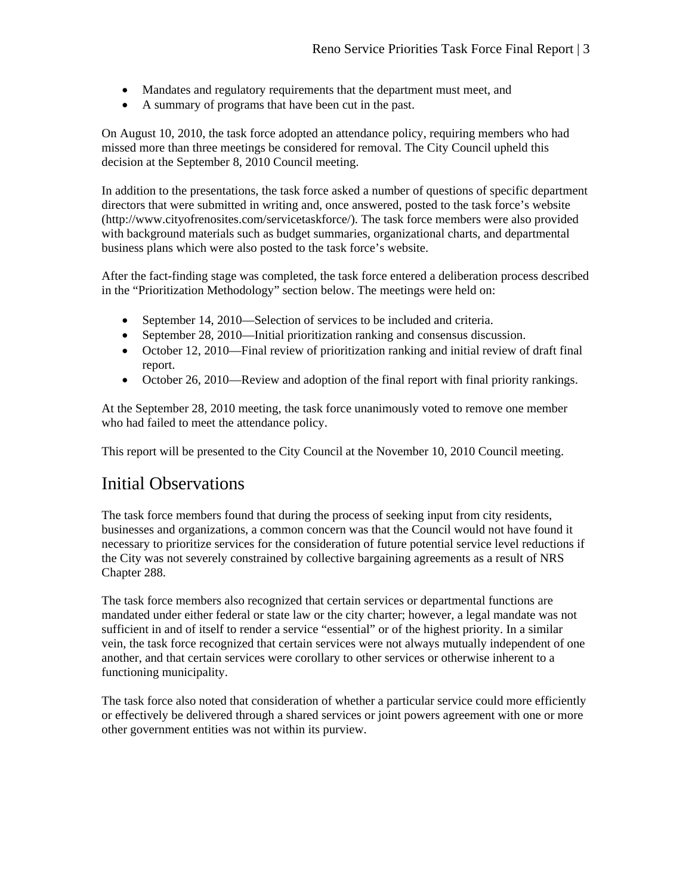- Mandates and regulatory requirements that the department must meet, and
- A summary of programs that have been cut in the past.

On August 10, 2010, the task force adopted an attendance policy, requiring members who had missed more than three meetings be considered for removal. The City Council upheld this decision at the September 8, 2010 Council meeting.

In addition to the presentations, the task force asked a number of questions of specific department directors that were submitted in writing and, once answered, posted to the task force's website (http://www.cityofrenosites.com/servicetaskforce/). The task force members were also provided with background materials such as budget summaries, organizational charts, and departmental business plans which were also posted to the task force's website.

After the fact-finding stage was completed, the task force entered a deliberation process described in the "Prioritization Methodology" section below. The meetings were held on:

- September 14, 2010—Selection of services to be included and criteria.
- September 28, 2010—Initial prioritization ranking and consensus discussion.
- October 12, 2010—Final review of prioritization ranking and initial review of draft final report.
- October 26, 2010—Review and adoption of the final report with final priority rankings.

At the September 28, 2010 meeting, the task force unanimously voted to remove one member who had failed to meet the attendance policy.

This report will be presented to the City Council at the November 10, 2010 Council meeting.

### Initial Observations

The task force members found that during the process of seeking input from city residents, businesses and organizations, a common concern was that the Council would not have found it necessary to prioritize services for the consideration of future potential service level reductions if the City was not severely constrained by collective bargaining agreements as a result of NRS Chapter 288.

The task force members also recognized that certain services or departmental functions are mandated under either federal or state law or the city charter; however, a legal mandate was not sufficient in and of itself to render a service "essential" or of the highest priority. In a similar vein, the task force recognized that certain services were not always mutually independent of one another, and that certain services were corollary to other services or otherwise inherent to a functioning municipality.

The task force also noted that consideration of whether a particular service could more efficiently or effectively be delivered through a shared services or joint powers agreement with one or more other government entities was not within its purview.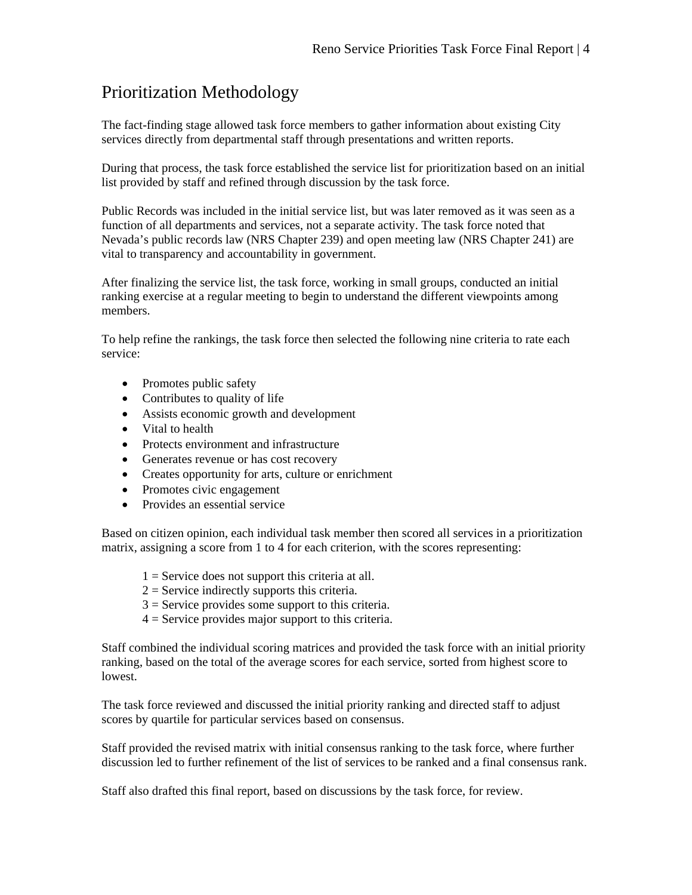# Prioritization Methodology

The fact-finding stage allowed task force members to gather information about existing City services directly from departmental staff through presentations and written reports.

During that process, the task force established the service list for prioritization based on an initial list provided by staff and refined through discussion by the task force.

Public Records was included in the initial service list, but was later removed as it was seen as a function of all departments and services, not a separate activity. The task force noted that Nevada's public records law (NRS Chapter 239) and open meeting law (NRS Chapter 241) are vital to transparency and accountability in government.

After finalizing the service list, the task force, working in small groups, conducted an initial ranking exercise at a regular meeting to begin to understand the different viewpoints among members.

To help refine the rankings, the task force then selected the following nine criteria to rate each service:

- Promotes public safety
- Contributes to quality of life
- Assists economic growth and development
- Vital to health
- Protects environment and infrastructure
- Generates revenue or has cost recovery
- Creates opportunity for arts, culture or enrichment
- Promotes civic engagement
- Provides an essential service

Based on citizen opinion, each individual task member then scored all services in a prioritization matrix, assigning a score from 1 to 4 for each criterion, with the scores representing:

- $1 =$  Service does not support this criteria at all.
- $2 =$  Service indirectly supports this criteria.
- $3 =$  Service provides some support to this criteria.
- $4 =$  Service provides major support to this criteria.

Staff combined the individual scoring matrices and provided the task force with an initial priority ranking, based on the total of the average scores for each service, sorted from highest score to lowest.

The task force reviewed and discussed the initial priority ranking and directed staff to adjust scores by quartile for particular services based on consensus.

Staff provided the revised matrix with initial consensus ranking to the task force, where further discussion led to further refinement of the list of services to be ranked and a final consensus rank.

Staff also drafted this final report, based on discussions by the task force, for review.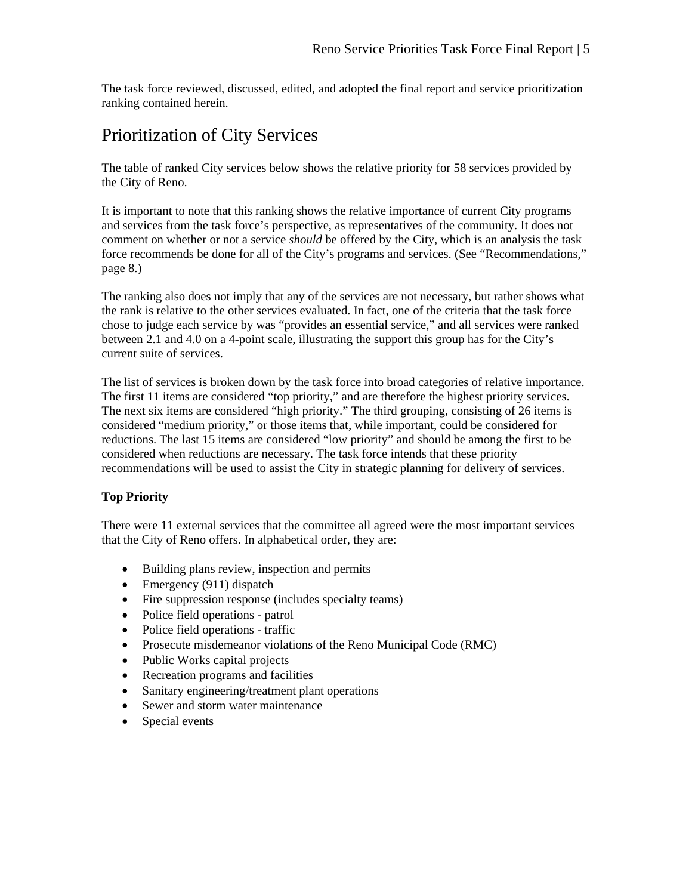The task force reviewed, discussed, edited, and adopted the final report and service prioritization ranking contained herein.

## Prioritization of City Services

The table of ranked City services below shows the relative priority for 58 services provided by the City of Reno.

It is important to note that this ranking shows the relative importance of current City programs and services from the task force's perspective, as representatives of the community. It does not comment on whether or not a service *should* be offered by the City, which is an analysis the task force recommends be done for all of the City's programs and services. (See "Recommendations," page 8.)

The ranking also does not imply that any of the services are not necessary, but rather shows what the rank is relative to the other services evaluated. In fact, one of the criteria that the task force chose to judge each service by was "provides an essential service," and all services were ranked between 2.1 and 4.0 on a 4-point scale, illustrating the support this group has for the City's current suite of services.

The list of services is broken down by the task force into broad categories of relative importance. The first 11 items are considered "top priority," and are therefore the highest priority services. The next six items are considered "high priority." The third grouping, consisting of 26 items is considered "medium priority," or those items that, while important, could be considered for reductions. The last 15 items are considered "low priority" and should be among the first to be considered when reductions are necessary. The task force intends that these priority recommendations will be used to assist the City in strategic planning for delivery of services.

### **Top Priority**

There were 11 external services that the committee all agreed were the most important services that the City of Reno offers. In alphabetical order, they are:

- Building plans review, inspection and permits
- $\bullet$  Emergency (911) dispatch
- Fire suppression response (includes specialty teams)
- Police field operations patrol
- Police field operations traffic
- Prosecute misdemeanor violations of the Reno Municipal Code (RMC)
- Public Works capital projects
- Recreation programs and facilities
- Sanitary engineering/treatment plant operations
- Sewer and storm water maintenance
- Special events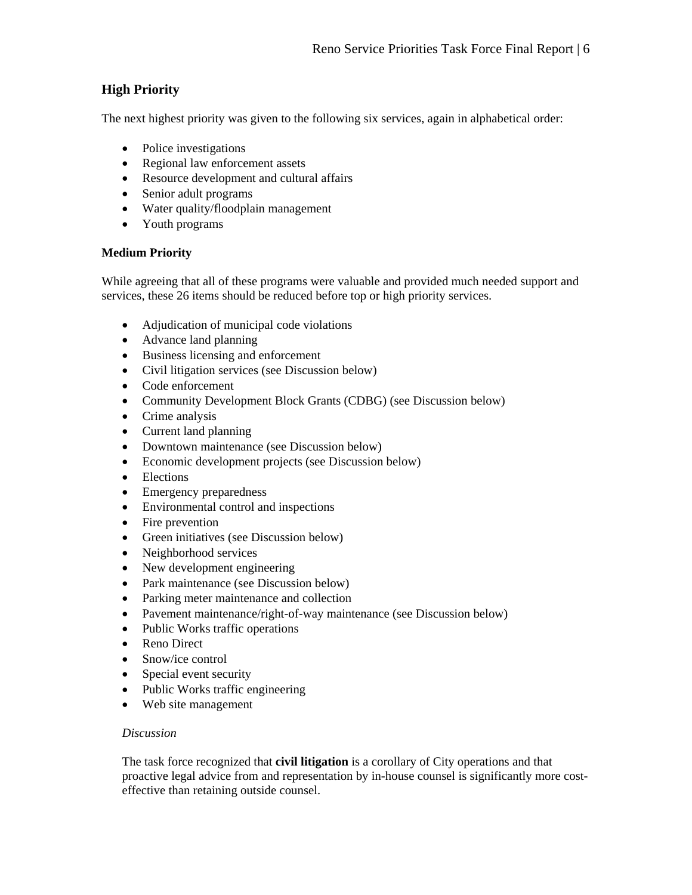### **High Priority**

The next highest priority was given to the following six services, again in alphabetical order:

- Police investigations
- Regional law enforcement assets
- Resource development and cultural affairs
- Senior adult programs
- Water quality/floodplain management
- Youth programs

### **Medium Priority**

While agreeing that all of these programs were valuable and provided much needed support and services, these 26 items should be reduced before top or high priority services.

- Adjudication of municipal code violations
- Advance land planning
- Business licensing and enforcement
- Civil litigation services (see Discussion below)
- Code enforcement
- Community Development Block Grants (CDBG) (see Discussion below)
- Crime analysis
- Current land planning
- Downtown maintenance (see Discussion below)
- Economic development projects (see Discussion below)
- Elections
- Emergency preparedness
- Environmental control and inspections
- Fire prevention
- Green initiatives (see Discussion below)
- Neighborhood services
- New development engineering
- Park maintenance (see Discussion below)
- Parking meter maintenance and collection
- Pavement maintenance/right-of-way maintenance (see Discussion below)
- Public Works traffic operations
- Reno Direct
- Snow/ice control
- Special event security
- Public Works traffic engineering
- Web site management

### *Discussion*

The task force recognized that **civil litigation** is a corollary of City operations and that proactive legal advice from and representation by in-house counsel is significantly more costeffective than retaining outside counsel.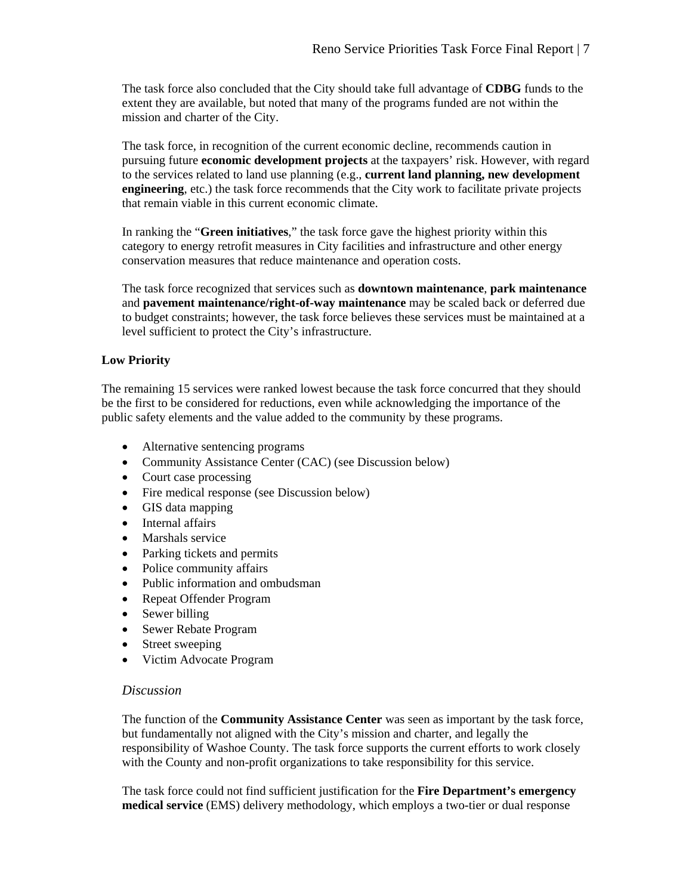The task force also concluded that the City should take full advantage of **CDBG** funds to the extent they are available, but noted that many of the programs funded are not within the mission and charter of the City.

The task force, in recognition of the current economic decline, recommends caution in pursuing future **economic development projects** at the taxpayers' risk. However, with regard to the services related to land use planning (e.g., **current land planning, new development engineering**, etc.) the task force recommends that the City work to facilitate private projects that remain viable in this current economic climate.

In ranking the "**Green initiatives**," the task force gave the highest priority within this category to energy retrofit measures in City facilities and infrastructure and other energy conservation measures that reduce maintenance and operation costs.

The task force recognized that services such as **downtown maintenance**, **park maintenance**  and **pavement maintenance/right-of-way maintenance** may be scaled back or deferred due to budget constraints; however, the task force believes these services must be maintained at a level sufficient to protect the City's infrastructure.

### **Low Priority**

The remaining 15 services were ranked lowest because the task force concurred that they should be the first to be considered for reductions, even while acknowledging the importance of the public safety elements and the value added to the community by these programs.

- Alternative sentencing programs
- Community Assistance Center (CAC) (see Discussion below)
- Court case processing
- Fire medical response (see Discussion below)
- GIS data mapping
- Internal affairs
- Marshals service
- Parking tickets and permits
- Police community affairs
- Public information and ombudsman
- Repeat Offender Program
- Sewer billing
- Sewer Rebate Program
- Street sweeping
- Victim Advocate Program

### *Discussion*

The function of the **Community Assistance Center** was seen as important by the task force, but fundamentally not aligned with the City's mission and charter, and legally the responsibility of Washoe County. The task force supports the current efforts to work closely with the County and non-profit organizations to take responsibility for this service.

The task force could not find sufficient justification for the **Fire Department's emergency medical service** (EMS) delivery methodology, which employs a two-tier or dual response